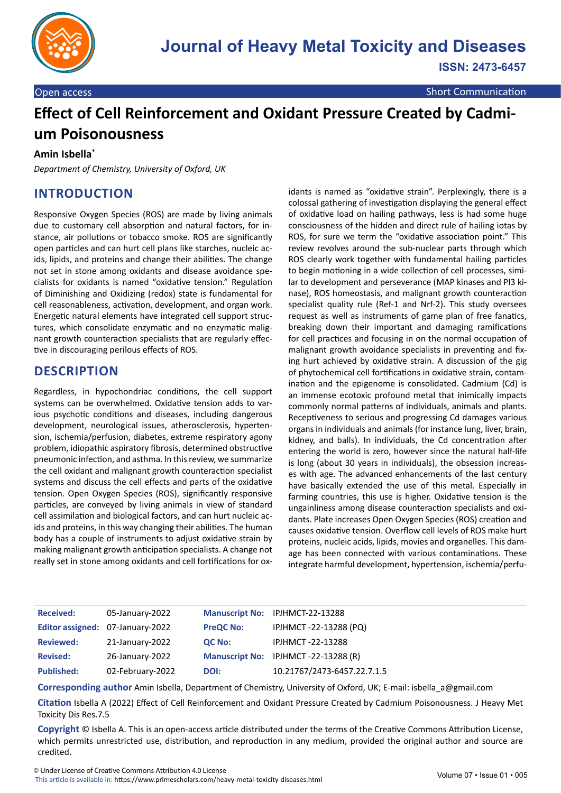

# **Effect of Cell Reinforcement and Oxidant Pressure Created by Cadmium Poisonousness**

#### **Amin Isbella\***

*Department of Chemistry, University of Oxford, UK*

#### **INTRODUCTION**

Responsive Oxygen Species (ROS) are made by living animals due to customary cell absorption and natural factors, for instance, air pollutions or tobacco smoke. ROS are significantly open particles and can hurt cell plans like starches, nucleic acids, lipids, and proteins and change their abilities. The change not set in stone among oxidants and disease avoidance specialists for oxidants is named "oxidative tension." Regulation of Diminishing and Oxidizing (redox) state is fundamental for cell reasonableness, activation, development, and organ work. Energetic natural elements have integrated cell support structures, which consolidate enzymatic and no enzymatic malignant growth counteraction specialists that are regularly effective in discouraging perilous effects of ROS.

#### **DESCRIPTION**

Regardless, in hypochondriac conditions, the cell support systems can be overwhelmed. Oxidative tension adds to various psychotic conditions and diseases, including dangerous development, neurological issues, atherosclerosis, hypertension, ischemia/perfusion, diabetes, extreme respiratory agony problem, idiopathic aspiratory fibrosis, determined obstructive pneumonic infection, and asthma. In this review, we summarize the cell oxidant and malignant growth counteraction specialist systems and discuss the cell effects and parts of the oxidative tension. Open Oxygen Species (ROS), significantly responsive particles, are conveyed by living animals in view of standard cell assimilation and biological factors, and can hurt nucleic acids and proteins, in this way changing their abilities. The human body has a couple of instruments to adjust oxidative strain by making malignant growth anticipation specialists. A change not really set in stone among oxidants and cell fortifications for oxidants is named as "oxidative strain". Perplexingly, there is a colossal gathering of investigation displaying the general effect of oxidative load on hailing pathways, less is had some huge consciousness of the hidden and direct rule of hailing iotas by ROS, for sure we term the "oxidative association point." This review revolves around the sub-nuclear parts through which ROS clearly work together with fundamental hailing particles to begin motioning in a wide collection of cell processes, similar to development and perseverance (MAP kinases and PI3 kinase), ROS homeostasis, and malignant growth counteraction specialist quality rule (Ref-1 and Nrf-2). This study oversees request as well as instruments of game plan of free fanatics, breaking down their important and damaging ramifications for cell practices and focusing in on the normal occupation of malignant growth avoidance specialists in preventing and fixing hurt achieved by oxidative strain. A discussion of the gig of phytochemical cell fortifications in oxidative strain, contamination and the epigenome is consolidated. Cadmium (Cd) is an immense ecotoxic profound metal that inimically impacts commonly normal patterns of individuals, animals and plants. Receptiveness to serious and progressing Cd damages various organs in individuals and animals (for instance lung, liver, brain, kidney, and balls). In individuals, the Cd concentration after entering the world is zero, however since the natural half-life is long (about 30 years in individuals), the obsession increases with age. The advanced enhancements of the last century have basically extended the use of this metal. Especially in farming countries, this use is higher. Oxidative tension is the ungainliness among disease counteraction specialists and oxidants. Plate increases Open Oxygen Species (ROS) creation and causes oxidative tension. Overflow cell levels of ROS make hurt proteins, nucleic acids, lipids, movies and organelles. This damage has been connected with various contaminations. These integrate harmful development, hypertension, ischemia/perfu-

| <b>Received:</b>  | 05-January-2022                  |                  | Manuscript No: IPJHMCT-22-13288     |
|-------------------|----------------------------------|------------------|-------------------------------------|
|                   | Editor assigned: 07-January-2022 | <b>PreQC No:</b> | IPJHMCT-22-13288 (PQ)               |
| <b>Reviewed:</b>  | 21-January-2022                  | QC No:           | <b>IPJHMCT-22-13288</b>             |
| <b>Revised:</b>   | 26-January-2022                  |                  | Manuscript No: IPJHMCT-22-13288 (R) |
| <b>Published:</b> | 02-February-2022                 | DOI:             | 10.21767/2473-6457.22.7.1.5         |

**Corresponding author** Amin Isbella, Department of Chemistry, University of Oxford, UK; E-mail: isbella\_a@gmail.com

**Citation** Isbella A (2022) Effect of Cell Reinforcement and Oxidant Pressure Created by Cadmium Poisonousness. J Heavy Met Toxicity Dis Res.7.5

**Copyright** © Isbella A. This is an open-access article distributed under the terms of the Creative Commons Attribution License, which permits unrestricted use, distribution, and reproduction in any medium, provided the original author and source are credited.